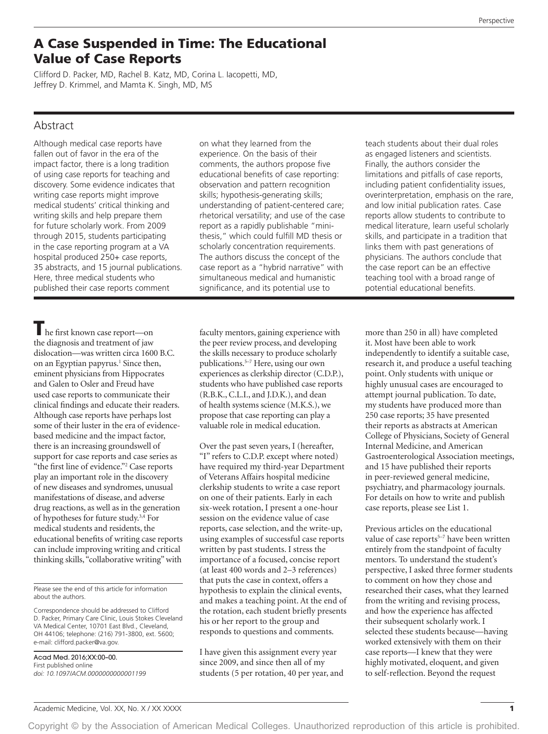# A Case Suspended in Time: The Educational Value of Case Reports

Clifford D. Packer, MD, Rachel B. Katz, MD, Corina L. Iacopetti, MD, Jeffrey D. Krimmel, and Mamta K. Singh, MD, MS

## Abstract

Although medical case reports have fallen out of favor in the era of the impact factor, there is a long tradition of using case reports for teaching and discovery. Some evidence indicates that writing case reports might improve medical students' critical thinking and writing skills and help prepare them for future scholarly work. From 2009 through 2015, students participating in the case reporting program at a VA hospital produced 250+ case reports, 35 abstracts, and 15 journal publications. Here, three medical students who published their case reports comment

The first known case report—on the diagnosis and treatment of jaw dislocation—was written circa 1600 B.C. on an Egyptian papyrus.<sup>1</sup> Since then, eminent physicians from Hippocrates and Galen to Osler and Freud have used case reports to communicate their clinical findings and educate their readers. Although case reports have perhaps lost some of their luster in the era of evidencebased medicine and the impact factor, there is an increasing groundswell of support for case reports and case series as "the first line of evidence."<sup>2</sup> Case reports play an important role in the discovery of new diseases and syndromes, unusual manifestations of disease, and adverse drug reactions, as well as in the generation of hypotheses for future study.3,4 For medical students and residents, the educational benefits of writing case reports can include improving writing and critical thinking skills, "collaborative writing" with

Please see the end of this article for information about the authors.

Correspondence should be addressed to Clifford D. Packer, Primary Care Clinic, Louis Stokes Cleveland VA Medical Center, 10701 East Blvd., Cleveland, OH 44106; telephone: (216) 791-3800, ext. 5600; e-mail: [clifford.packer@va.gov](mailto:clifford.packer@va.gov).

Acad Med. 2016;XX:00–00. First published online *doi: 10.1097/ACM.0000000000001199* on what they learned from the experience. On the basis of their comments, the authors propose five educational benefits of case reporting: observation and pattern recognition skills; hypothesis-generating skills; understanding of patient-centered care; rhetorical versatility; and use of the case report as a rapidly publishable "minithesis," which could fulfill MD thesis or scholarly concentration requirements. The authors discuss the concept of the case report as a "hybrid narrative" with simultaneous medical and humanistic significance, and its potential use to

faculty mentors, gaining experience with the peer review process, and developing the skills necessary to produce scholarly publications.5–7 Here, using our own experiences as clerkship director (C.D.P.), students who have published case reports (R.B.K., C.L.I., and J.D.K.), and dean of health systems science (M.K.S.), we propose that case reporting can play a valuable role in medical education.

Over the past seven years, I (hereafter, "I" refers to C.D.P. except where noted) have required my third-year Department of Veterans Affairs hospital medicine clerkship students to write a case report on one of their patients. Early in each six-week rotation, I present a one-hour session on the evidence value of case reports, case selection, and the write-up, using examples of successful case reports written by past students. I stress the importance of a focused, concise report (at least 400 words and 2–3 references) that puts the case in context, offers a hypothesis to explain the clinical events, and makes a teaching point. At the end of the rotation, each student briefly presents his or her report to the group and responds to questions and comments.

I have given this assignment every year since 2009, and since then all of my students (5 per rotation, 40 per year, and teach students about their dual roles as engaged listeners and scientists. Finally, the authors consider the limitations and pitfalls of case reports, including patient confidentiality issues, overinterpretation, emphasis on the rare, and low initial publication rates. Case reports allow students to contribute to medical literature, learn useful scholarly skills, and participate in a tradition that links them with past generations of physicians. The authors conclude that the case report can be an effective teaching tool with a broad range of potential educational benefits.

more than 250 in all) have completed it. Most have been able to work independently to identify a suitable case, research it, and produce a useful teaching point. Only students with unique or highly unusual cases are encouraged to attempt journal publication. To date, my students have produced more than 250 case reports; 35 have presented their reports as abstracts at American College of Physicians, Society of General Internal Medicine, and American Gastroenterological Association meetings, and 15 have published their reports in peer-reviewed general medicine, psychiatry, and pharmacology journals. For details on how to write and publish case reports, please see List 1.

Previous articles on the educational value of case reports<sup>5-7</sup> have been written entirely from the standpoint of faculty mentors. To understand the student's perspective, I asked three former students to comment on how they chose and researched their cases, what they learned from the writing and revising process, and how the experience has affected their subsequent scholarly work. I selected these students because—having worked extensively with them on their case reports—I knew that they were highly motivated, eloquent, and given to self-reflection. Beyond the request

Copyright © by the Association of American Medical Colleges. Unauthorized reproduction of this article is prohibited.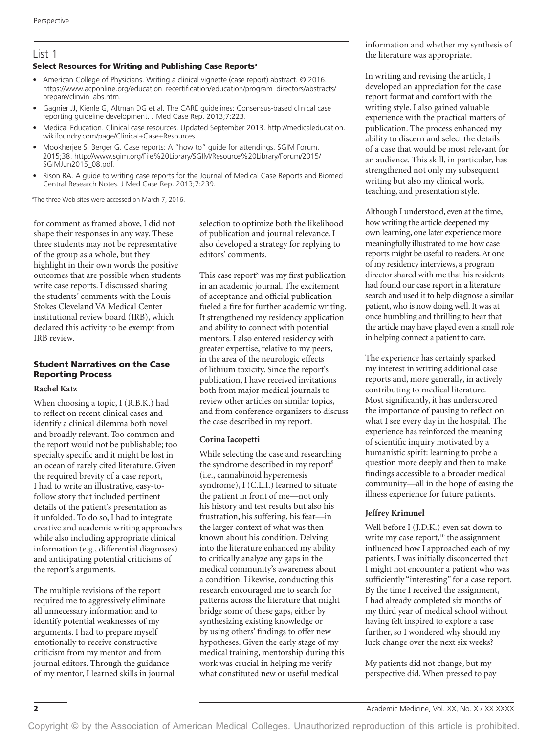## List 1

## Select Resources for Writing and Publishing Case Reports<sup>a</sup>

- American College of Physicians. Writing a clinical vignette (case report) abstract. © 2016. [https://www.acponline.org/education\\_recertification/education/program\\_directors/abstracts/](https://www.acponline.org/education_recertification/education/program_directors/abstracts/prepare/clinvin_abs.htm) [prepare/clinvin\\_abs.htm](https://www.acponline.org/education_recertification/education/program_directors/abstracts/prepare/clinvin_abs.htm).
- Gagnier JJ, Kienle G, Altman DG et al. The CARE guidelines: Consensus-based clinical case reporting guideline development. J Med Case Rep. 2013;7:223.
- Medical Education. Clinical case resources. Updated September 2013. [http://medicaleducation.](http://medicaleducation.wikifoundry.com/page/Clinical+Case+Resources) [wikifoundry.com/page/Clinical+Case+Resources](http://medicaleducation.wikifoundry.com/page/Clinical+Case+Resources).
- Mookherjee S, Berger G. Case reports: A "how to" guide for attendings. SGIM Forum. 2015;38. [http://www.sgim.org/File%20Library/SGIM/Resource%20Library/Forum/2015/](http://www.sgim.org/File%20Library/SGIM/Resource%20Library/Forum/2015/SGIMJun2015_08.pdf) [SGIMJun2015\\_08.pdf.](http://www.sgim.org/File%20Library/SGIM/Resource%20Library/Forum/2015/SGIMJun2015_08.pdf)
- Rison RA. A guide to writing case reports for the Journal of Medical Case Reports and Biomed Central Research Notes. J Med Case Rep. 2013;7:239.

aThe three Web sites were accessed on March 7, 2016.

for comment as framed above, I did not shape their responses in any way. These three students may not be representative of the group as a whole, but they highlight in their own words the positive outcomes that are possible when students write case reports. I discussed sharing the students' comments with the Louis Stokes Cleveland VA Medical Center institutional review board (IRB), which declared this activity to be exempt from IRB review.

## Student Narratives on the Case Reporting Process

#### **Rachel Katz**

When choosing a topic, I (R.B.K.) had to reflect on recent clinical cases and identify a clinical dilemma both novel and broadly relevant. Too common and the report would not be publishable; too specialty specific and it might be lost in an ocean of rarely cited literature. Given the required brevity of a case report, I had to write an illustrative, easy-tofollow story that included pertinent details of the patient's presentation as it unfolded. To do so, I had to integrate creative and academic writing approaches while also including appropriate clinical information (e.g., differential diagnoses) and anticipating potential criticisms of the report's arguments.

The multiple revisions of the report required me to aggressively eliminate all unnecessary information and to identify potential weaknesses of my arguments. I had to prepare myself emotionally to receive constructive criticism from my mentor and from journal editors. Through the guidance of my mentor, I learned skills in journal selection to optimize both the likelihood of publication and journal relevance. I also developed a strategy for replying to editors' comments.

This case report<sup>8</sup> was my first publication in an academic journal. The excitement of acceptance and official publication fueled a fire for further academic writing. It strengthened my residency application and ability to connect with potential mentors. I also entered residency with greater expertise, relative to my peers, in the area of the neurologic effects of lithium toxicity. Since the report's publication, I have received invitations both from major medical journals to review other articles on similar topics, and from conference organizers to discuss the case described in my report.

## **Corina Iacopetti**

While selecting the case and researching the syndrome described in my report<sup>9</sup> (i.e., cannabinoid hyperemesis syndrome), I (C.L.I.) learned to situate the patient in front of me—not only his history and test results but also his frustration, his suffering, his fear—in the larger context of what was then known about his condition. Delving into the literature enhanced my ability to critically analyze any gaps in the medical community's awareness about a condition. Likewise, conducting this research encouraged me to search for patterns across the literature that might bridge some of these gaps, either by synthesizing existing knowledge or by using others' findings to offer new hypotheses. Given the early stage of my medical training, mentorship during this work was crucial in helping me verify what constituted new or useful medical

information and whether my synthesis of the literature was appropriate.

In writing and revising the article, I developed an appreciation for the case report format and comfort with the writing style. I also gained valuable experience with the practical matters of publication. The process enhanced my ability to discern and select the details of a case that would be most relevant for an audience. This skill, in particular, has strengthened not only my subsequent writing but also my clinical work, teaching, and presentation style.

Although I understood, even at the time, how writing the article deepened my own learning, one later experience more meaningfully illustrated to me how case reports might be useful to readers. At one of my residency interviews, a program director shared with me that his residents had found our case report in a literature search and used it to help diagnose a similar patient, who is now doing well. It was at once humbling and thrilling to hear that the article may have played even a small role in helping connect a patient to care.

The experience has certainly sparked my interest in writing additional case reports and, more generally, in actively contributing to medical literature. Most significantly, it has underscored the importance of pausing to reflect on what I see every day in the hospital. The experience has reinforced the meaning of scientific inquiry motivated by a humanistic spirit: learning to probe a question more deeply and then to make findings accessible to a broader medical community—all in the hope of easing the illness experience for future patients.

## **Jeffrey Krimmel**

Well before I (J.D.K.) even sat down to write my case report, $10$  the assignment influenced how I approached each of my patients. I was initially disconcerted that I might not encounter a patient who was sufficiently "interesting" for a case report. By the time I received the assignment, I had already completed six months of my third year of medical school without having felt inspired to explore a case further, so I wondered why should my luck change over the next six weeks?

My patients did not change, but my perspective did. When pressed to pay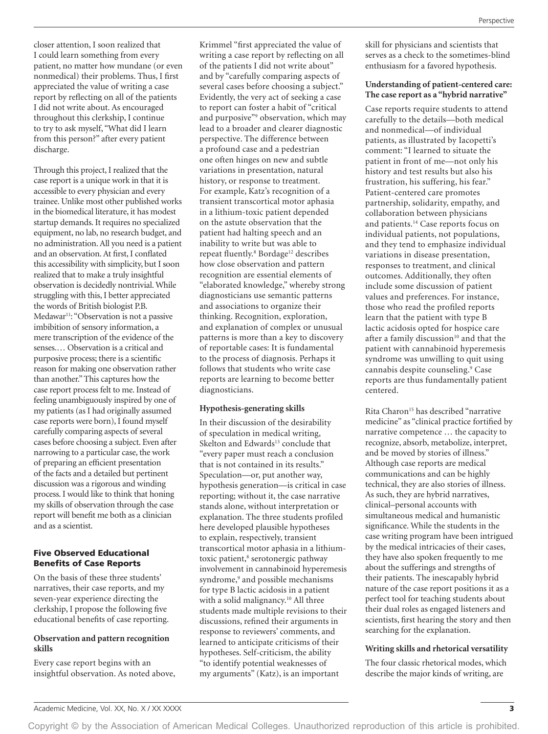closer attention, I soon realized that I could learn something from every patient, no matter how mundane (or even nonmedical) their problems. Thus, I first appreciated the value of writing a case report by reflecting on all of the patients I did not write about. As encouraged throughout this clerkship, I continue to try to ask myself, "What did I learn from this person?" after every patient discharge.

Through this project, I realized that the case report is a unique work in that it is accessible to every physician and every trainee. Unlike most other published works in the biomedical literature, it has modest startup demands. It requires no specialized equipment, no lab, no research budget, and no administration. All you need is a patient and an observation. At first, I conflated this accessibility with simplicity, but I soon realized that to make a truly insightful observation is decidedly nontrivial. While struggling with this, I better appreciated the words of British biologist P.B. Medawar<sup>11</sup>: "Observation is not a passive imbibition of sensory information, a mere transcription of the evidence of the senses.… Observation is a critical and purposive process; there is a scientific reason for making one observation rather than another." This captures how the case report process felt to me. Instead of feeling unambiguously inspired by one of my patients (as I had originally assumed case reports were born), I found myself carefully comparing aspects of several cases before choosing a subject. Even after narrowing to a particular case, the work of preparing an efficient presentation of the facts and a detailed but pertinent discussion was a rigorous and winding process. I would like to think that honing my skills of observation through the case report will benefit me both as a clinician and as a scientist.

## Five Observed Educational Benefits of Case Reports

On the basis of these three students' narratives, their case reports, and my seven-year experience directing the clerkship, I propose the following five educational benefits of case reporting.

## **Observation and pattern recognition skills**

Every case report begins with an insightful observation. As noted above, Krimmel "first appreciated the value of writing a case report by reflecting on all of the patients I did not write about" and by "carefully comparing aspects of several cases before choosing a subject." Evidently, the very act of seeking a case to report can foster a habit of "critical and purposive"<sup>9</sup> observation, which may lead to a broader and clearer diagnostic perspective. The difference between a profound case and a pedestrian one often hinges on new and subtle variations in presentation, natural history, or response to treatment. For example, Katz's recognition of a transient transcortical motor aphasia in a lithium-toxic patient depended on the astute observation that the patient had halting speech and an inability to write but was able to repeat fluently.<sup>8</sup> Bordage<sup>12</sup> describes how close observation and pattern recognition are essential elements of "elaborated knowledge," whereby strong diagnosticians use semantic patterns and associations to organize their thinking. Recognition, exploration, and explanation of complex or unusual patterns is more than a key to discovery of reportable cases: It is fundamental to the process of diagnosis. Perhaps it follows that students who write case reports are learning to become better diagnosticians.

## **Hypothesis-generating skills**

In their discussion of the desirability of speculation in medical writing, Skelton and Edwards<sup>13</sup> conclude that "every paper must reach a conclusion that is not contained in its results." Speculation—or, put another way, hypothesis generation—is critical in case reporting; without it, the case narrative stands alone, without interpretation or explanation. The three students profiled here developed plausible hypotheses to explain, respectively, transient transcortical motor aphasia in a lithiumtoxic patient,<sup>8</sup> serotonergic pathway involvement in cannabinoid hyperemesis syndrome,<sup>9</sup> and possible mechanisms for type B lactic acidosis in a patient with a solid malignancy.<sup>10</sup> All three students made multiple revisions to their discussions, refined their arguments in response to reviewers' comments, and learned to anticipate criticisms of their hypotheses. Self-criticism, the ability "to identify potential weaknesses of my arguments" (Katz), is an important

skill for physicians and scientists that serves as a check to the sometimes-blind enthusiasm for a favored hypothesis.

#### **Understanding of patient-centered care: The case report as a "hybrid narrative"**

Case reports require students to attend carefully to the details—both medical and nonmedical—of individual patients, as illustrated by Iacopetti's comment: "I learned to situate the patient in front of me—not only his history and test results but also his frustration, his suffering, his fear." Patient-centered care promotes partnership, solidarity, empathy, and collaboration between physicians and patients.<sup>14</sup> Case reports focus on individual patients, not populations, and they tend to emphasize individual variations in disease presentation, responses to treatment, and clinical outcomes. Additionally, they often include some discussion of patient values and preferences. For instance, those who read the profiled reports learn that the patient with type B lactic acidosis opted for hospice care after a family discussion $10$  and that the patient with cannabinoid hyperemesis syndrome was unwilling to quit using cannabis despite counseling.<sup>9</sup> Case reports are thus fundamentally patient centered.

Rita Charon<sup>15</sup> has described "narrative medicine" as "clinical practice fortified by narrative competence … the capacity to recognize, absorb, metabolize, interpret, and be moved by stories of illness." Although case reports are medical communications and can be highly technical, they are also stories of illness. As such, they are hybrid narratives, clinical–personal accounts with simultaneous medical and humanistic significance. While the students in the case writing program have been intrigued by the medical intricacies of their cases, they have also spoken frequently to me about the sufferings and strengths of their patients. The inescapably hybrid nature of the case report positions it as a perfect tool for teaching students about their dual roles as engaged listeners and scientists, first hearing the story and then searching for the explanation.

## **Writing skills and rhetorical versatility**

The four classic rhetorical modes, which describe the major kinds of writing, are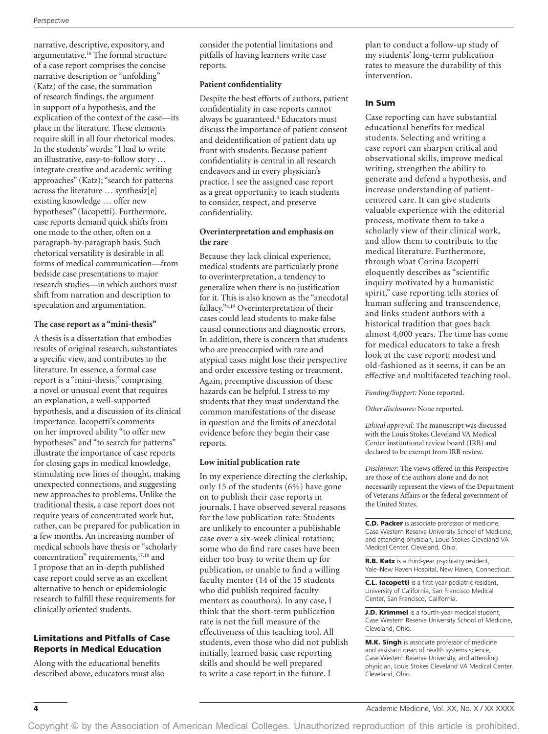narrative, descriptive, expository, and argumentative.16 The formal structure of a case report comprises the concise narrative description or "unfolding" (Katz) of the case, the summation of research findings, the argument in support of a hypothesis, and the explication of the context of the case—its place in the literature. These elements require skill in all four rhetorical modes. In the students' words: "I had to write an illustrative, easy-to-follow story … integrate creative and academic writing approaches" (Katz); "search for patterns across the literature … synthesiz[e] existing knowledge … offer new hypotheses" (Iacopetti). Furthermore, case reports demand quick shifts from one mode to the other, often on a paragraph-by-paragraph basis. Such rhetorical versatility is desirable in all forms of medical communication—from bedside case presentations to major research studies—in which authors must shift from narration and description to speculation and argumentation.

#### **The case report as a "mini-thesis"**

A thesis is a dissertation that embodies results of original research, substantiates a specific view, and contributes to the literature. In essence, a formal case report is a "mini-thesis," comprising a novel or unusual event that requires an explanation, a well-supported hypothesis, and a discussion of its clinical importance. Iacopetti's comments on her improved ability "to offer new hypotheses" and "to search for patterns" illustrate the importance of case reports for closing gaps in medical knowledge, stimulating new lines of thought, making unexpected connections, and suggesting new approaches to problems. Unlike the traditional thesis, a case report does not require years of concentrated work but, rather, can be prepared for publication in a few months. An increasing number of medical schools have thesis or "scholarly concentration" requirements, 17,18 and I propose that an in-depth published case report could serve as an excellent alternative to bench or epidemiologic research to fulfill these requirements for clinically oriented students.

## Limitations and Pitfalls of Case Reports in Medical Education

Along with the educational benefits described above, educators must also consider the potential limitations and pitfalls of having learners write case reports.

### **Patient confidentiality**

Despite the best efforts of authors, patient confidentiality in case reports cannot always be guaranteed.<sup>4</sup> Educators must discuss the importance of patient consent and deidentification of patient data up front with students. Because patient confidentiality is central in all research endeavors and in every physician's practice, I see the assigned case report as a great opportunity to teach students to consider, respect, and preserve confidentiality.

#### **Overinterpretation and emphasis on the rare**

Because they lack clinical experience, medical students are particularly prone to overinterpretation, a tendency to generalize when there is no justification for it. This is also known as the "anecdotal fallacy."4,19 Overinterpretation of their cases could lead students to make false causal connections and diagnostic errors. In addition, there is concern that students who are preoccupied with rare and atypical cases might lose their perspective and order excessive testing or treatment. Again, preemptive discussion of these hazards can be helpful. I stress to my students that they must understand the common manifestations of the disease in question and the limits of anecdotal evidence before they begin their case reports.

## **Low initial publication rate**

In my experience directing the clerkship, only 15 of the students (6%) have gone on to publish their case reports in journals. I have observed several reasons for the low publication rate: Students are unlikely to encounter a publishable case over a six-week clinical rotation; some who do find rare cases have been either too busy to write them up for publication, or unable to find a willing faculty mentor (14 of the 15 students who did publish required faculty mentors as coauthors). In any case, I think that the short-term publication rate is not the full measure of the effectiveness of this teaching tool. All students, even those who did not publish initially, learned basic case reporting skills and should be well prepared to write a case report in the future. I

plan to conduct a follow-up study of my students' long-term publication rates to measure the durability of this intervention.

## In Sum

Case reporting can have substantial educational benefits for medical students. Selecting and writing a case report can sharpen critical and observational skills, improve medical writing, strengthen the ability to generate and defend a hypothesis, and increase understanding of patientcentered care. It can give students valuable experience with the editorial process, motivate them to take a scholarly view of their clinical work, and allow them to contribute to the medical literature. Furthermore, through what Corina Iacopetti eloquently describes as "scientific inquiry motivated by a humanistic spirit," case reporting tells stories of human suffering and transcendence, and links student authors with a historical tradition that goes back almost 4,000 years. The time has come for medical educators to take a fresh look at the case report; modest and old-fashioned as it seems, it can be an effective and multifaceted teaching tool.

*Funding/Support:* None reported.

*Other disclosures:* None reported.

*Ethical approval:* The manuscript was discussed with the Louis Stokes Cleveland VA Medical Center institutional review board (IRB) and declared to be exempt from IRB review.

*Disclaimer:* The views offered in this Perspective are those of the authors alone and do not necessarily represent the views of the Department of Veterans Affairs or the federal government of the United States.

C.D. Packer is associate professor of medicine, Case Western Reserve University School of Medicine, and attending physician, Louis Stokes Cleveland VA Medical Center, Cleveland, Ohio.

R.B. Katz is a third-year psychiatry resident, Yale–New Haven Hospital, New Haven, Connecticut.

**C.L. lacopetti** is a first-year pediatric resident, University of California, San Francisco Medical Center, San Francisco, California.

J.D. Krimmel is a fourth-year medical student, Case Western Reserve University School of Medicine, Cleveland, Ohio.

**M.K. Singh** is associate professor of medicine and assistant dean of health systems science, Case Western Reserve University, and attending physician, Louis Stokes Cleveland VA Medical Center, Cleveland, Ohio.